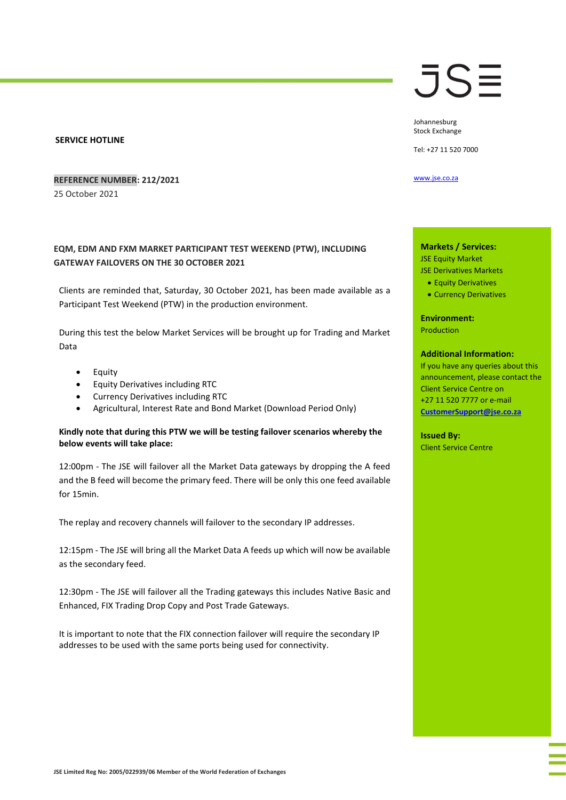#### **SERVICE HOTLINE**

### **REFERENCE NUMBER: 212/2021**

25 October 2021

# **EQM, EDM AND FXM MARKET PARTICIPANT TEST WEEKEND (PTW), INCLUDING GATEWAY FAILOVERS ON THE 30 OCTOBER 2021**

Clients are reminded that, Saturday, 30 October 2021, has been made available as a Participant Test Weekend (PTW) in the production environment.

During this test the below Market Services will be brought up for Trading and Market Data

- Equity
- Equity Derivatives including RTC
- Currency Derivatives including RTC
- Agricultural, Interest Rate and Bond Market (Download Period Only)

### **Kindly note that during this PTW we will be testing failover scenarios whereby the below events will take place:**

12:00pm - The JSE will failover all the Market Data gateways by dropping the A feed and the B feed will become the primary feed. There will be only this one feed available for 15min.

The replay and recovery channels will failover to the secondary IP addresses.

12:15pm - The JSE will bring all the Market Data A feeds up which will now be available as the secondary feed.

12:30pm - The JSE will failover all the Trading gateways this includes Native Basic and Enhanced, FIX Trading Drop Copy and Post Trade Gateways.

It is important to note that the FIX connection failover will require the secondary IP addresses to be used with the same ports being used for connectivity.

# JS≣

Johannesburg Stock Exchange

Tel: +27 11 520 7000

[www.jse.co.za](http://www.jse.co.za/)

### **Markets / Services:** JSE Equity Market JSE Derivatives Markets

• Equity Derivatives

• Currency Derivatives

**Environment:**

Production

## **Additional Information:**

If you have any queries about this announcement, please contact the Client Service Centre on +27 11 520 7777 or e-mail **[CustomerSupport@jse.co.za](mailto:CustomerSupport@jse.co.za)**

**Issued By:** Client Service Centre